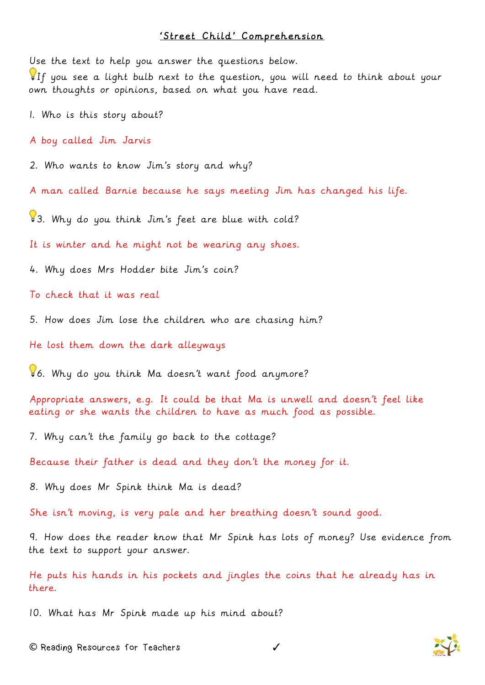## 'Street Child' Comprehension

Use the text to help you answer the questions below. If you see a light bulb next to the question, you will need to think about your own thoughts or opinions, based on what you have read.

1. Who is this story about?

A boy called Jim Jarvis

2. Who wants to know Jim's story and why?

A man called Barnie because he says meeting Jim has changed his life.

 $\sqrt{3}$ . Why do you think Jim's feet are blue with cold?

It is winter and he might not be wearing any shoes.

4. Why does Mrs Hodder bite Jim's coin?

To check that it was real

5. How does Jim lose the children who are chasing him?

He lost them down the dark alleyways

6. Why do you think Ma doesn't want food anymore?

Appropriate answers, e.g. It could be that Ma is unwell and doesn't feel like eating or she wants the children to have as much food as possible.

7. Why can't the family go back to the cottage?

Because their father is dead and they don't the money for it.

8. Why does Mr Spink think Ma is dead?

She isn't moving, is very pale and her breathing doesn't sound good.

9. How does the reader know that Mr Spink has lots of money? Use evidence from the text to support your answer.

He puts his hands in his pockets and jingles the coins that he already has in there.

10. What has Mr Spink made up his mind about?